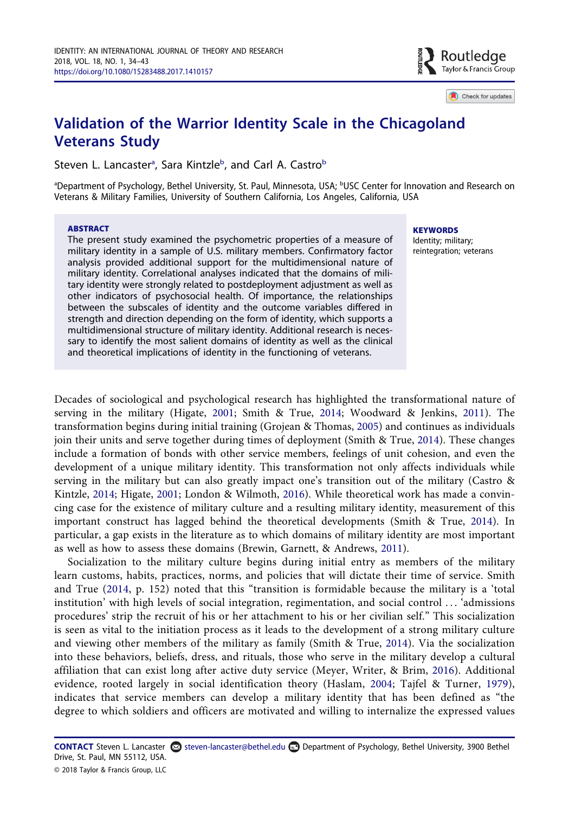

Check for updates

# Validation of the Warrior Identity Scale in the Chicagoland Veterans Study

Steven L. Lancaster<sup>a</sup>, Sara Kintzle<sup>b</sup>, and Carl A. Castro<sup>b</sup>

a Department of Psychology, Bethel University, St. Paul, Minnesota, USA; <sup>b</sup> USC Center for Innovation and Research on Veterans & Military Families, University of Southern California, Los Angeles, California, USA

## **ABSTRACT**

The present study examined the psychometric properties of a measure of military identity in a sample of U.S. military members. Confirmatory factor analysis provided additional support for the multidimensional nature of military identity. Correlational analyses indicated that the domains of military identity were strongly related to postdeployment adjustment as well as other indicators of psychosocial health. Of importance, the relationships between the subscales of identity and the outcome variables differed in strength and direction depending on the form of identity, which supports a multidimensional structure of military identity. Additional research is necessary to identify the most salient domains of identity as well as the clinical and theoretical implications of identity in the functioning of veterans.

**KEYWORDS** 

Identity; military; reintegration; veterans

Decades of sociological and psychological research has highlighted the transformational nature of serving in the military (Higate, 2001; Smith & True, 2014; Woodward & Jenkins, 2011). The transformation begins during initial training (Grojean & Thomas, 2005) and continues as individuals join their units and serve together during times of deployment (Smith & True, 2014). These changes include a formation of bonds with other service members, feelings of unit cohesion, and even the development of a unique military identity. This transformation not only affects individuals while serving in the military but can also greatly impact one's transition out of the military (Castro & Kintzle, 2014; Higate, 2001; London & Wilmoth, 2016). While theoretical work has made a convincing case for the existence of military culture and a resulting military identity, measurement of this important construct has lagged behind the theoretical developments (Smith & True, 2014). In particular, a gap exists in the literature as to which domains of military identity are most important as well as how to assess these domains (Brewin, Garnett, & Andrews, 2011).

Socialization to the military culture begins during initial entry as members of the military learn customs, habits, practices, norms, and policies that will dictate their time of service. Smith and True (2014, p. 152) noted that this "transition is formidable because the military is a 'total institution' with high levels of social integration, regimentation, and social control . . . 'admissions procedures' strip the recruit of his or her attachment to his or her civilian self." This socialization is seen as vital to the initiation process as it leads to the development of a strong military culture and viewing other members of the military as family (Smith & True, 2014). Via the socialization into these behaviors, beliefs, dress, and rituals, those who serve in the military develop a cultural affiliation that can exist long after active duty service (Meyer, Writer, & Brim, 2016). Additional evidence, rooted largely in social identification theory (Haslam, 2004; Tajfel & Turner, 1979), indicates that service members can develop a military identity that has been defined as "the degree to which soldiers and officers are motivated and willing to internalize the expressed values

CONTACT Steven L. Lancaster So steven-lancaster@bethel.edu **Department of Psychology, Bethel University, 3900 Bethel** Drive, St. Paul, MN 55112, USA. © 2018 Taylor & Francis Group, LLC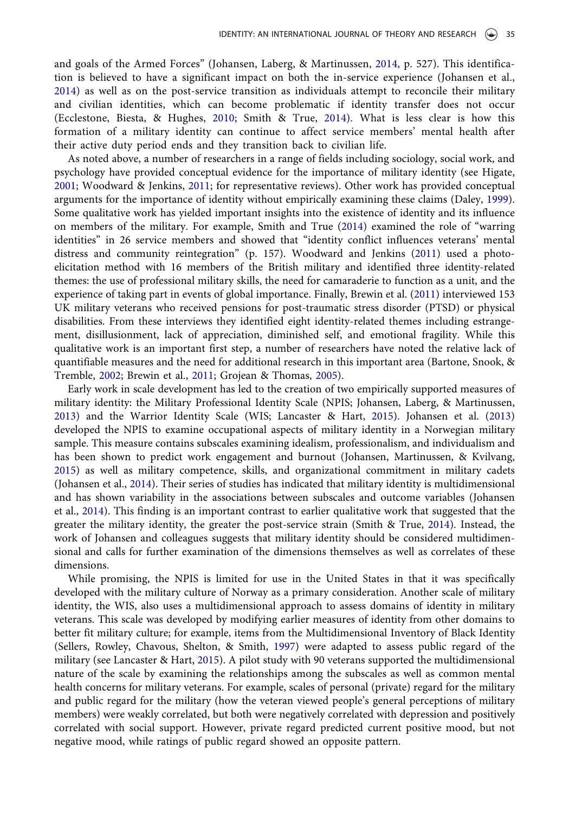and goals of the Armed Forces" (Johansen, Laberg, & Martinussen, 2014, p. 527). This identification is believed to have a significant impact on both the in-service experience (Johansen et al., 2014) as well as on the post-service transition as individuals attempt to reconcile their military and civilian identities, which can become problematic if identity transfer does not occur (Ecclestone, Biesta, & Hughes, 2010; Smith & True, 2014). What is less clear is how this formation of a military identity can continue to affect service members' mental health after their active duty period ends and they transition back to civilian life.

As noted above, a number of researchers in a range of fields including sociology, social work, and psychology have provided conceptual evidence for the importance of military identity (see Higate, 2001; Woodward & Jenkins, 2011; for representative reviews). Other work has provided conceptual arguments for the importance of identity without empirically examining these claims (Daley, 1999). Some qualitative work has yielded important insights into the existence of identity and its influence on members of the military. For example, Smith and True (2014) examined the role of "warring identities" in 26 service members and showed that "identity conflict influences veterans' mental distress and community reintegration" (p. 157). Woodward and Jenkins (2011) used a photoelicitation method with 16 members of the British military and identified three identity-related themes: the use of professional military skills, the need for camaraderie to function as a unit, and the experience of taking part in events of global importance. Finally, Brewin et al. (2011) interviewed 153 UK military veterans who received pensions for post-traumatic stress disorder (PTSD) or physical disabilities. From these interviews they identified eight identity-related themes including estrangement, disillusionment, lack of appreciation, diminished self, and emotional fragility. While this qualitative work is an important first step, a number of researchers have noted the relative lack of quantifiable measures and the need for additional research in this important area (Bartone, Snook, & Tremble, 2002; Brewin et al., 2011; Grojean & Thomas, 2005).

Early work in scale development has led to the creation of two empirically supported measures of military identity: the Military Professional Identity Scale (NPIS; Johansen, Laberg, & Martinussen, 2013) and the Warrior Identity Scale (WIS; Lancaster & Hart, 2015). Johansen et al. (2013) developed the NPIS to examine occupational aspects of military identity in a Norwegian military sample. This measure contains subscales examining idealism, professionalism, and individualism and has been shown to predict work engagement and burnout (Johansen, Martinussen, & Kvilvang, 2015) as well as military competence, skills, and organizational commitment in military cadets (Johansen et al., 2014). Their series of studies has indicated that military identity is multidimensional and has shown variability in the associations between subscales and outcome variables (Johansen et al., 2014). This finding is an important contrast to earlier qualitative work that suggested that the greater the military identity, the greater the post-service strain (Smith & True, 2014). Instead, the work of Johansen and colleagues suggests that military identity should be considered multidimensional and calls for further examination of the dimensions themselves as well as correlates of these dimensions.

While promising, the NPIS is limited for use in the United States in that it was specifically developed with the military culture of Norway as a primary consideration. Another scale of military identity, the WIS, also uses a multidimensional approach to assess domains of identity in military veterans. This scale was developed by modifying earlier measures of identity from other domains to better fit military culture; for example, items from the Multidimensional Inventory of Black Identity (Sellers, Rowley, Chavous, Shelton, & Smith, 1997) were adapted to assess public regard of the military (see Lancaster & Hart, 2015). A pilot study with 90 veterans supported the multidimensional nature of the scale by examining the relationships among the subscales as well as common mental health concerns for military veterans. For example, scales of personal (private) regard for the military and public regard for the military (how the veteran viewed people's general perceptions of military members) were weakly correlated, but both were negatively correlated with depression and positively correlated with social support. However, private regard predicted current positive mood, but not negative mood, while ratings of public regard showed an opposite pattern.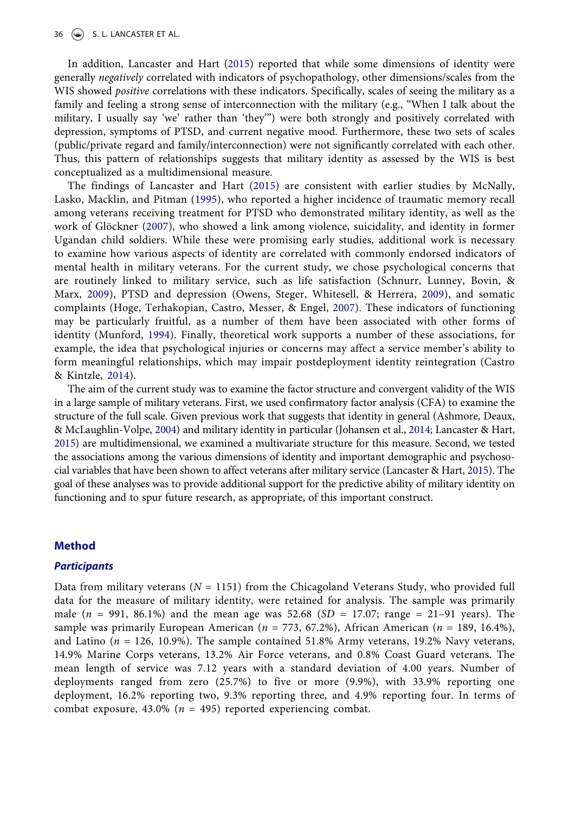36  $\leftrightarrow$  S. L. LANCASTER ET AL.

In addition, Lancaster and Hart (2015) reported that while some dimensions of identity were generally negatively correlated with indicators of psychopathology, other dimensions/scales from the WIS showed *positive* correlations with these indicators. Specifically, scales of seeing the military as a family and feeling a strong sense of interconnection with the military (e.g., "When I talk about the military, I usually say 'we' rather than 'they'") were both strongly and positively correlated with depression, symptoms of PTSD, and current negative mood. Furthermore, these two sets of scales (public/private regard and family/interconnection) were not significantly correlated with each other. Thus, this pattern of relationships suggests that military identity as assessed by the WIS is best conceptualized as a multidimensional measure.

The findings of Lancaster and Hart (2015) are consistent with earlier studies by McNally, Lasko, Macklin, and Pitman (1995), who reported a higher incidence of traumatic memory recall among veterans receiving treatment for PTSD who demonstrated military identity, as well as the work of Glöckner (2007), who showed a link among violence, suicidality, and identity in former Ugandan child soldiers. While these were promising early studies, additional work is necessary to examine how various aspects of identity are correlated with commonly endorsed indicators of mental health in military veterans. For the current study, we chose psychological concerns that are routinely linked to military service, such as life satisfaction (Schnurr, Lunney, Bovin, & Marx, 2009), PTSD and depression (Owens, Steger, Whitesell, & Herrera, 2009), and somatic complaints (Hoge, Terhakopian, Castro, Messer, & Engel, 2007). These indicators of functioning may be particularly fruitful, as a number of them have been associated with other forms of identity (Munford, 1994). Finally, theoretical work supports a number of these associations, for example, the idea that psychological injuries or concerns may affect a service member's ability to form meaningful relationships, which may impair postdeployment identity reintegration (Castro & Kintzle, 2014).

The aim of the current study was to examine the factor structure and convergent validity of the WIS in a large sample of military veterans. First, we used confirmatory factor analysis (CFA) to examine the structure of the full scale. Given previous work that suggests that identity in general (Ashmore, Deaux, & McLaughlin-Volpe, 2004) and military identity in particular (Johansen et al., 2014; Lancaster & Hart, 2015) are multidimensional, we examined a multivariate structure for this measure. Second, we tested the associations among the various dimensions of identity and important demographic and psychosocial variables that have been shown to affect veterans after military service (Lancaster & Hart, 2015). The goal of these analyses was to provide additional support for the predictive ability of military identity on functioning and to spur future research, as appropriate, of this important construct.

## Method

#### **Participants**

Data from military veterans ( $N = 1151$ ) from the Chicagoland Veterans Study, who provided full data for the measure of military identity, were retained for analysis. The sample was primarily male ( $n = 991, 86.1\%$ ) and the mean age was 52.68 ( $SD = 17.07$ ; range = 21–91 years). The sample was primarily European American ( $n = 773, 67.2\%$ ), African American ( $n = 189, 16.4\%$ ), and Latino ( $n = 126$ , 10.9%). The sample contained 51.8% Army veterans, 19.2% Navy veterans, 14.9% Marine Corps veterans, 13.2% Air Force veterans, and 0.8% Coast Guard veterans. The mean length of service was 7.12 years with a standard deviation of 4.00 years. Number of deployments ranged from zero (25.7%) to five or more (9.9%), with 33.9% reporting one deployment, 16.2% reporting two, 9.3% reporting three, and 4.9% reporting four. In terms of combat exposure, 43.0% ( $n = 495$ ) reported experiencing combat.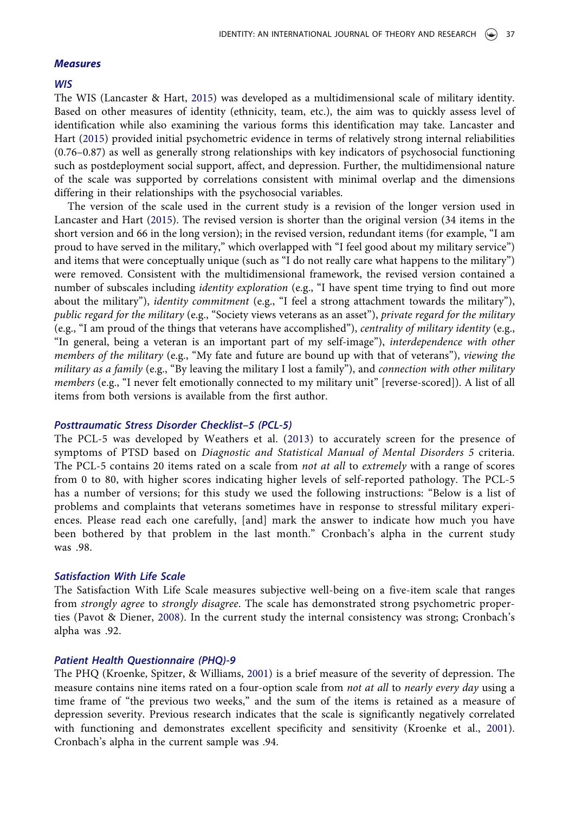#### **Measures**

## **WIS**

The WIS (Lancaster & Hart, 2015) was developed as a multidimensional scale of military identity. Based on other measures of identity (ethnicity, team, etc.), the aim was to quickly assess level of identification while also examining the various forms this identification may take. Lancaster and Hart (2015) provided initial psychometric evidence in terms of relatively strong internal reliabilities (0.76–0.87) as well as generally strong relationships with key indicators of psychosocial functioning such as postdeployment social support, affect, and depression. Further, the multidimensional nature of the scale was supported by correlations consistent with minimal overlap and the dimensions differing in their relationships with the psychosocial variables.

The version of the scale used in the current study is a revision of the longer version used in Lancaster and Hart (2015). The revised version is shorter than the original version (34 items in the short version and 66 in the long version); in the revised version, redundant items (for example, "I am proud to have served in the military," which overlapped with "I feel good about my military service") and items that were conceptually unique (such as "I do not really care what happens to the military") were removed. Consistent with the multidimensional framework, the revised version contained a number of subscales including *identity exploration* (e.g., "I have spent time trying to find out more about the military"), *identity commitment* (e.g., "I feel a strong attachment towards the military"), public regard for the military (e.g., "Society views veterans as an asset"), private regard for the military (e.g., "I am proud of the things that veterans have accomplished"), centrality of military identity (e.g., "In general, being a veteran is an important part of my self-image"), interdependence with other members of the military (e.g., "My fate and future are bound up with that of veterans"), viewing the military as a family (e.g., "By leaving the military I lost a family"), and connection with other military members (e.g., "I never felt emotionally connected to my military unit" [reverse-scored]). A list of all items from both versions is available from the first author.

## Posttraumatic Stress Disorder Checklist–5 (PCL-5)

The PCL-5 was developed by Weathers et al. (2013) to accurately screen for the presence of symptoms of PTSD based on Diagnostic and Statistical Manual of Mental Disorders 5 criteria. The PCL-5 contains 20 items rated on a scale from not at all to extremely with a range of scores from 0 to 80, with higher scores indicating higher levels of self-reported pathology. The PCL-5 has a number of versions; for this study we used the following instructions: "Below is a list of problems and complaints that veterans sometimes have in response to stressful military experiences. Please read each one carefully, [and] mark the answer to indicate how much you have been bothered by that problem in the last month." Cronbach's alpha in the current study was .98.

## Satisfaction With Life Scale

The Satisfaction With Life Scale measures subjective well-being on a five-item scale that ranges from strongly agree to strongly disagree. The scale has demonstrated strong psychometric properties (Pavot & Diener, 2008). In the current study the internal consistency was strong; Cronbach's alpha was .92.

# Patient Health Questionnaire (PHQ)-9

The PHQ (Kroenke, Spitzer, & Williams, 2001) is a brief measure of the severity of depression. The measure contains nine items rated on a four-option scale from *not at all* to *nearly every day* using a time frame of "the previous two weeks," and the sum of the items is retained as a measure of depression severity. Previous research indicates that the scale is significantly negatively correlated with functioning and demonstrates excellent specificity and sensitivity (Kroenke et al., 2001). Cronbach's alpha in the current sample was .94.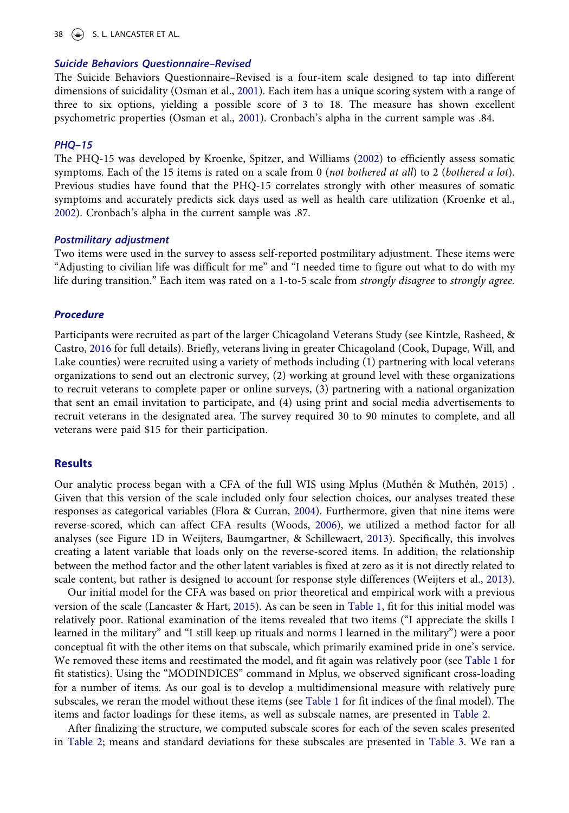38  $\leftrightarrow$  S. L. LANCASTER ET AL.

## Suicide Behaviors Questionnaire–Revised

The Suicide Behaviors Questionnaire–Revised is a four-item scale designed to tap into different dimensions of suicidality (Osman et al., 2001). Each item has a unique scoring system with a range of three to six options, yielding a possible score of 3 to 18. The measure has shown excellent psychometric properties (Osman et al., 2001). Cronbach's alpha in the current sample was .84.

# PHQ–15

The PHQ-15 was developed by Kroenke, Spitzer, and Williams (2002) to efficiently assess somatic symptoms. Each of the 15 items is rated on a scale from 0 (not bothered at all) to 2 (bothered a lot). Previous studies have found that the PHQ-15 correlates strongly with other measures of somatic symptoms and accurately predicts sick days used as well as health care utilization (Kroenke et al., 2002). Cronbach's alpha in the current sample was .87.

#### Postmilitary adjustment

Two items were used in the survey to assess self-reported postmilitary adjustment. These items were "Adjusting to civilian life was difficult for me" and "I needed time to figure out what to do with my life during transition." Each item was rated on a 1-to-5 scale from strongly disagree to strongly agree.

## Procedure

Participants were recruited as part of the larger Chicagoland Veterans Study (see Kintzle, Rasheed, & Castro, 2016 for full details). Briefly, veterans living in greater Chicagoland (Cook, Dupage, Will, and Lake counties) were recruited using a variety of methods including (1) partnering with local veterans organizations to send out an electronic survey, (2) working at ground level with these organizations to recruit veterans to complete paper or online surveys, (3) partnering with a national organization that sent an email invitation to participate, and (4) using print and social media advertisements to recruit veterans in the designated area. The survey required 30 to 90 minutes to complete, and all veterans were paid \$15 for their participation.

## **Results**

Our analytic process began with a CFA of the full WIS using Mplus (Muthén & Muthén, 2015) . Given that this version of the scale included only four selection choices, our analyses treated these responses as categorical variables (Flora & Curran, 2004). Furthermore, given that nine items were reverse-scored, which can affect CFA results (Woods, 2006), we utilized a method factor for all analyses (see Figure 1D in Weijters, Baumgartner, & Schillewaert, 2013). Specifically, this involves creating a latent variable that loads only on the reverse-scored items. In addition, the relationship between the method factor and the other latent variables is fixed at zero as it is not directly related to scale content, but rather is designed to account for response style differences (Weijters et al., 2013).

Our initial model for the CFA was based on prior theoretical and empirical work with a previous version of the scale (Lancaster & Hart, 2015). As can be seen in Table 1, fit for this initial model was relatively poor. Rational examination of the items revealed that two items ("I appreciate the skills I learned in the military" and "I still keep up rituals and norms I learned in the military") were a poor conceptual fit with the other items on that subscale, which primarily examined pride in one's service. We removed these items and reestimated the model, and fit again was relatively poor (see Table 1 for fit statistics). Using the "MODINDICES" command in Mplus, we observed significant cross-loading for a number of items. As our goal is to develop a multidimensional measure with relatively pure subscales, we reran the model without these items (see Table 1 for fit indices of the final model). The items and factor loadings for these items, as well as subscale names, are presented in Table 2.

After finalizing the structure, we computed subscale scores for each of the seven scales presented in Table 2; means and standard deviations for these subscales are presented in Table 3. We ran a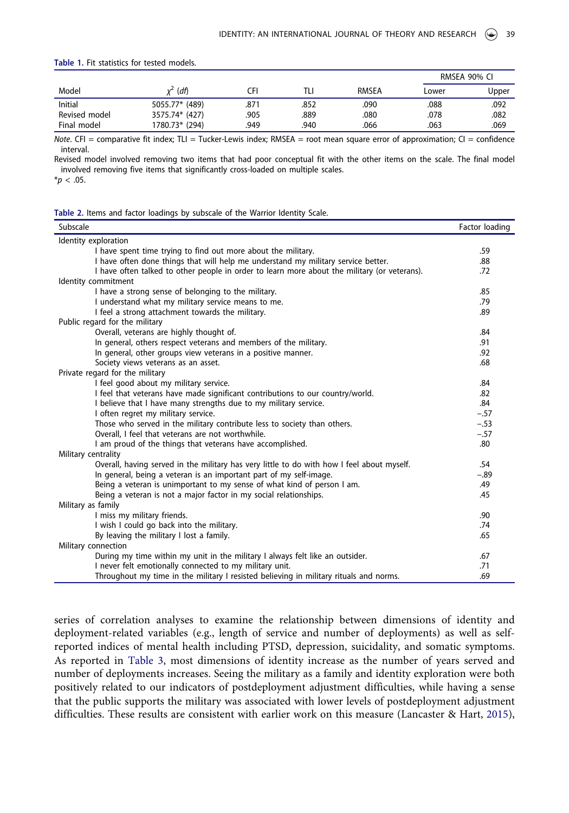|               |                |      |      |       | RMSEA 90% CI |       |
|---------------|----------------|------|------|-------|--------------|-------|
| Model         | (df)           | CFI  |      | RMSEA | Lower        | Upper |
| Initial       | 5055.77* (489) | .871 | .852 | .090  | .088         | .092  |
| Revised model | 3575.74* (427) | .905 | .889 | .080  | .078         | .082  |
| Final model   | 1780.73* (294) | .949 | .940 | .066  | .063         | .069  |

#### Table 1. Fit statistics for tested models.

Note.  $CFI = \text{comparative fit index; TLI} = \text{Tucker-Lewis index; RMSEA} = \text{root mean square error of approximation; CI} = \text{confidence}$ interval.

Revised model involved removing two items that had poor conceptual fit with the other items on the scale. The final model involved removing five items that significantly cross-loaded on multiple scales.  $*p < .05$ .

Table 2. Items and factor loadings by subscale of the Warrior Identity Scale.

| Subscale                                                                                     | Factor loading |
|----------------------------------------------------------------------------------------------|----------------|
| Identity exploration                                                                         |                |
| I have spent time trying to find out more about the military.                                | .59            |
| I have often done things that will help me understand my military service better.            | .88            |
| I have often talked to other people in order to learn more about the military (or veterans). | .72            |
| Identity commitment                                                                          |                |
| I have a strong sense of belonging to the military.                                          | .85            |
| I understand what my military service means to me.                                           | .79            |
| I feel a strong attachment towards the military.                                             | .89            |
| Public regard for the military                                                               |                |
| Overall, veterans are highly thought of.                                                     | .84            |
| In general, others respect veterans and members of the military.                             | .91            |
| In general, other groups view veterans in a positive manner.                                 | .92            |
| Society views veterans as an asset.                                                          | .68            |
| Private regard for the military                                                              |                |
| I feel good about my military service.                                                       | .84            |
| I feel that veterans have made significant contributions to our country/world.               | .82            |
| I believe that I have many strengths due to my military service.                             | .84            |
| I often regret my military service.                                                          | $-.57$         |
| Those who served in the military contribute less to society than others.                     | $-.53$         |
| Overall, I feel that veterans are not worthwhile.                                            | $-.57$         |
| I am proud of the things that veterans have accomplished.                                    | .80            |
| Military centrality                                                                          |                |
| Overall, having served in the military has very little to do with how I feel about myself.   | .54            |
| In general, being a veteran is an important part of my self-image.                           | $-.89$         |
| Being a veteran is unimportant to my sense of what kind of person I am.                      | .49            |
| Being a veteran is not a major factor in my social relationships.                            | .45            |
| Military as family                                                                           |                |
| I miss my military friends.                                                                  | .90            |
| I wish I could go back into the military.                                                    | .74            |
| By leaving the military I lost a family.                                                     | .65            |
| Military connection                                                                          |                |
| During my time within my unit in the military I always felt like an outsider.                | .67            |
| I never felt emotionally connected to my military unit.                                      | .71            |
| Throughout my time in the military I resisted believing in military rituals and norms.       | .69            |

series of correlation analyses to examine the relationship between dimensions of identity and deployment-related variables (e.g., length of service and number of deployments) as well as selfreported indices of mental health including PTSD, depression, suicidality, and somatic symptoms. As reported in Table 3, most dimensions of identity increase as the number of years served and number of deployments increases. Seeing the military as a family and identity exploration were both positively related to our indicators of postdeployment adjustment difficulties, while having a sense that the public supports the military was associated with lower levels of postdeployment adjustment difficulties. These results are consistent with earlier work on this measure (Lancaster & Hart, 2015),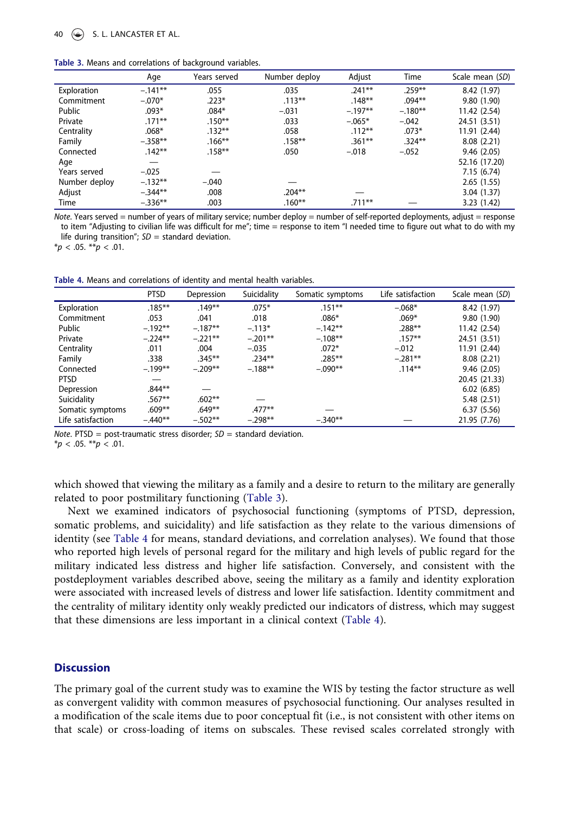#### Table 3. Means and correlations of background variables.

|               | Age       | Years served | Number deploy | Adjust    | Time      | Scale mean (SD) |
|---------------|-----------|--------------|---------------|-----------|-----------|-----------------|
| Exploration   | $-.141**$ | .055         | .035          | $.241**$  | $.259***$ | 8.42 (1.97)     |
| Commitment    | $-.070*$  | $.223*$      | $.113***$     | $.148***$ | $.094**$  | 9.80(1.90)      |
| Public        | $.093*$   | $.084*$      | $-.031$       | $-.197**$ | $-.180**$ | 11.42 (2.54)    |
| Private       | $.171***$ | $.150***$    | .033          | $-.065*$  | $-.042$   | 24.51 (3.51)    |
| Centrality    | $.068*$   | $.132***$    | .058          | $.112***$ | $.073*$   | 11.91 (2.44)    |
| Family        | $-.358**$ | $.166***$    | $.158***$     | $.361**$  | $.324**$  | 8.08(2.21)      |
| Connected     | $.142***$ | $.158***$    | .050          | $-.018$   | $-.052$   | 9.46(2.05)      |
| Age           |           |              |               |           |           | 52.16 (17.20)   |
| Years served  | $-.025$   |              |               |           |           | 7.15(6.74)      |
| Number deploy | $-.132**$ | $-.040$      |               |           |           | 2.65(1.55)      |
| Adjust        | $-.344**$ | .008         | $.204**$      |           |           | 3.04(1.37)      |
| Time          | $-.336**$ | .003         | $.160***$     | $.711***$ |           | 3.23(1.42)      |

Note. Years served = number of years of military service; number deploy = number of self-reported deployments, adjust = response to item "Adjusting to civilian life was difficult for me"; time = response to item "I needed time to figure out what to do with my life during transition";  $SD =$  standard deviation.

 $*_p$  < .05.  $\overline{*_p}$  < .01.

|                   | <b>PTSD</b> | Depression | Suicidality | Somatic symptoms | Life satisfaction | Scale mean (SD) |
|-------------------|-------------|------------|-------------|------------------|-------------------|-----------------|
| Exploration       | $.185***$   | $.149***$  | $.075*$     | $.151***$        | $-.068*$          | 8.42 (1.97)     |
| Commitment        | .053        | .041       | .018        | $.086*$          | $.069*$           | 9.80(1.90)      |
| Public            | $-.192**$   | $-.187**$  | $-.113*$    | $-.142**$        | $.288**$          | 11.42 (2.54)    |
| Private           | $-.224**$   | $-.221**$  | $-.201**$   | $-.108**$        | $.157***$         | 24.51 (3.51)    |
| Centrality        | .011        | .004       | $-.035$     | $.072*$          | $-.012$           | 11.91 (2.44)    |
| Family            | .338        | $.345***$  | $.234**$    | $.285***$        | $-.281**$         | 8.08(2.21)      |
| Connected         | $-.199**$   | $-.209**$  | $-.188**$   | $-.090**$        | $.114***$         | 9.46(2.05)      |
| <b>PTSD</b>       |             |            |             |                  |                   | 20.45 (21.33)   |
| Depression        | $.844**$    |            |             |                  |                   | 6.02(6.85)      |
| Suicidality       | $.567**$    | $.602**$   |             |                  |                   | 5.48 (2.51)     |
| Somatic symptoms  | $.609**$    | $.649**$   | $.477**$    |                  |                   | 6.37(5.56)      |
| Life satisfaction | $-.440**$   | $-.502**$  | $-.298**$   | $-.340**$        |                   | 21.95 (7.76)    |

Note. PTSD = post-traumatic stress disorder:  $SD =$  standard deviation.  $*_{p}$  < .05. \*\*p < .01.

which showed that viewing the military as a family and a desire to return to the military are generally related to poor postmilitary functioning (Table 3).

Next we examined indicators of psychosocial functioning (symptoms of PTSD, depression, somatic problems, and suicidality) and life satisfaction as they relate to the various dimensions of identity (see Table 4 for means, standard deviations, and correlation analyses). We found that those who reported high levels of personal regard for the military and high levels of public regard for the military indicated less distress and higher life satisfaction. Conversely, and consistent with the postdeployment variables described above, seeing the military as a family and identity exploration were associated with increased levels of distress and lower life satisfaction. Identity commitment and the centrality of military identity only weakly predicted our indicators of distress, which may suggest that these dimensions are less important in a clinical context (Table 4).

# **Discussion**

The primary goal of the current study was to examine the WIS by testing the factor structure as well as convergent validity with common measures of psychosocial functioning. Our analyses resulted in a modification of the scale items due to poor conceptual fit (i.e., is not consistent with other items on that scale) or cross-loading of items on subscales. These revised scales correlated strongly with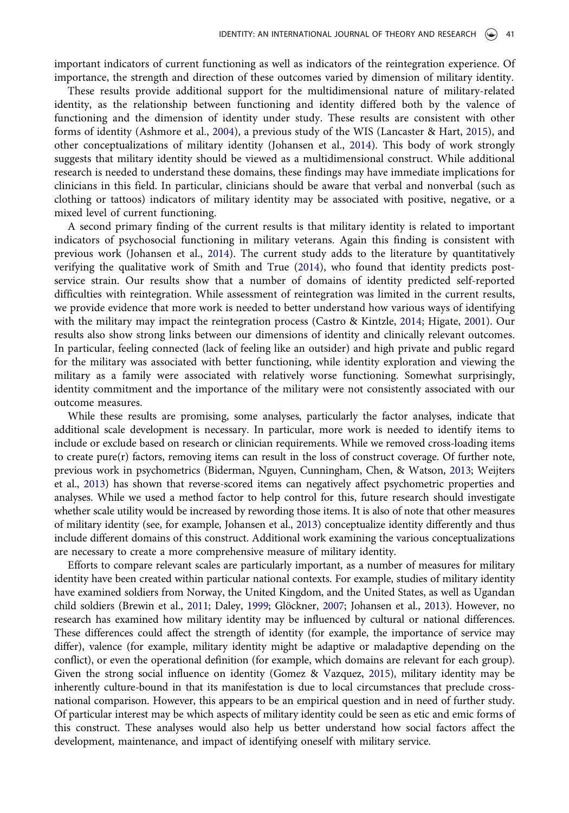important indicators of current functioning as well as indicators of the reintegration experience. Of importance, the strength and direction of these outcomes varied by dimension of military identity.

These results provide additional support for the multidimensional nature of military-related identity, as the relationship between functioning and identity differed both by the valence of functioning and the dimension of identity under study. These results are consistent with other forms of identity (Ashmore et al., 2004), a previous study of the WIS (Lancaster & Hart, 2015), and other conceptualizations of military identity (Johansen et al., 2014). This body of work strongly suggests that military identity should be viewed as a multidimensional construct. While additional research is needed to understand these domains, these findings may have immediate implications for clinicians in this field. In particular, clinicians should be aware that verbal and nonverbal (such as clothing or tattoos) indicators of military identity may be associated with positive, negative, or a mixed level of current functioning.

A second primary finding of the current results is that military identity is related to important indicators of psychosocial functioning in military veterans. Again this finding is consistent with previous work (Johansen et al., 2014). The current study adds to the literature by quantitatively verifying the qualitative work of Smith and True (2014), who found that identity predicts postservice strain. Our results show that a number of domains of identity predicted self-reported difficulties with reintegration. While assessment of reintegration was limited in the current results, we provide evidence that more work is needed to better understand how various ways of identifying with the military may impact the reintegration process (Castro & Kintzle, 2014; Higate, 2001). Our results also show strong links between our dimensions of identity and clinically relevant outcomes. In particular, feeling connected (lack of feeling like an outsider) and high private and public regard for the military was associated with better functioning, while identity exploration and viewing the military as a family were associated with relatively worse functioning. Somewhat surprisingly, identity commitment and the importance of the military were not consistently associated with our outcome measures.

While these results are promising, some analyses, particularly the factor analyses, indicate that additional scale development is necessary. In particular, more work is needed to identify items to include or exclude based on research or clinician requirements. While we removed cross-loading items to create pure(r) factors, removing items can result in the loss of construct coverage. Of further note, previous work in psychometrics (Biderman, Nguyen, Cunningham, Chen, & Watson, 2013; Weijters et al., 2013) has shown that reverse-scored items can negatively affect psychometric properties and analyses. While we used a method factor to help control for this, future research should investigate whether scale utility would be increased by rewording those items. It is also of note that other measures of military identity (see, for example, Johansen et al., 2013) conceptualize identity differently and thus include different domains of this construct. Additional work examining the various conceptualizations are necessary to create a more comprehensive measure of military identity.

Efforts to compare relevant scales are particularly important, as a number of measures for military identity have been created within particular national contexts. For example, studies of military identity have examined soldiers from Norway, the United Kingdom, and the United States, as well as Ugandan child soldiers (Brewin et al., 2011; Daley, 1999; Glöckner, 2007; Johansen et al., 2013). However, no research has examined how military identity may be influenced by cultural or national differences. These differences could affect the strength of identity (for example, the importance of service may differ), valence (for example, military identity might be adaptive or maladaptive depending on the conflict), or even the operational definition (for example, which domains are relevant for each group). Given the strong social influence on identity (Gomez & Vazquez, 2015), military identity may be inherently culture-bound in that its manifestation is due to local circumstances that preclude crossnational comparison. However, this appears to be an empirical question and in need of further study. Of particular interest may be which aspects of military identity could be seen as etic and emic forms of this construct. These analyses would also help us better understand how social factors affect the development, maintenance, and impact of identifying oneself with military service.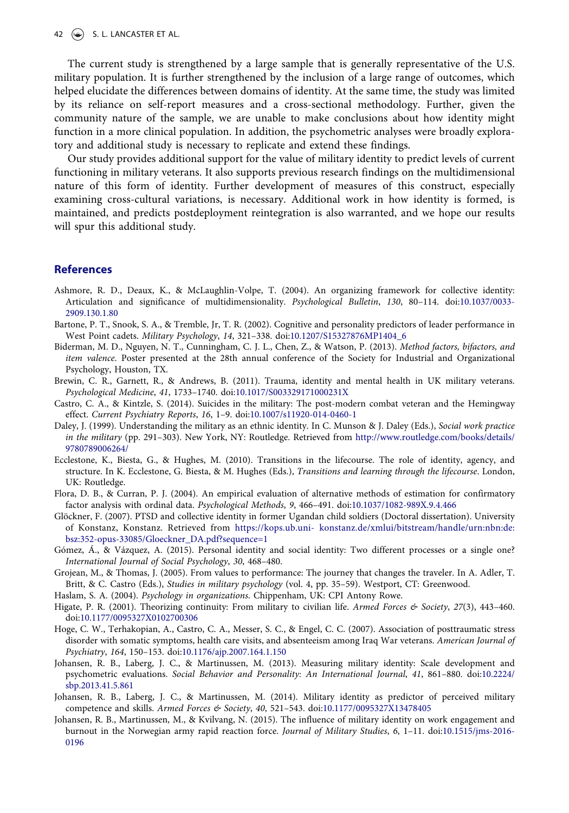42  $\left(\frac{1}{2}\right)$  S. L. LANCASTER ET AL.

The current study is strengthened by a large sample that is generally representative of the U.S. military population. It is further strengthened by the inclusion of a large range of outcomes, which helped elucidate the differences between domains of identity. At the same time, the study was limited by its reliance on self-report measures and a cross-sectional methodology. Further, given the community nature of the sample, we are unable to make conclusions about how identity might function in a more clinical population. In addition, the psychometric analyses were broadly exploratory and additional study is necessary to replicate and extend these findings.

Our study provides additional support for the value of military identity to predict levels of current functioning in military veterans. It also supports previous research findings on the multidimensional nature of this form of identity. Further development of measures of this construct, especially examining cross-cultural variations, is necessary. Additional work in how identity is formed, is maintained, and predicts postdeployment reintegration is also warranted, and we hope our results will spur this additional study.

# **References**

- Ashmore, R. D., Deaux, K., & McLaughlin-Volpe, T. (2004). An organizing framework for collective identity: Articulation and significance of multidimensionality. Psychological Bulletin, 130, 80–114. doi:10.1037/0033- 2909.130.1.80
- Bartone, P. T., Snook, S. A., & Tremble, Jr, T. R. (2002). Cognitive and personality predictors of leader performance in West Point cadets. Military Psychology, 14, 321–338. doi:10.1207/S15327876MP1404\_6
- Biderman, M. D., Nguyen, N. T., Cunningham, C. J. L., Chen, Z., & Watson, P. (2013). Method factors, bifactors, and item valence. Poster presented at the 28th annual conference of the Society for Industrial and Organizational Psychology, Houston, TX.
- Brewin, C. R., Garnett, R., & Andrews, B. (2011). Trauma, identity and mental health in UK military veterans. Psychological Medicine, 41, 1733–1740. doi:10.1017/S003329171000231X
- Castro, C. A., & Kintzle, S. (2014). Suicides in the military: The post-modern combat veteran and the Hemingway effect. Current Psychiatry Reports, 16, 1–9. doi:10.1007/s11920-014-0460-1
- Daley, J. (1999). Understanding the military as an ethnic identity. In C. Munson & J. Daley (Eds.), Social work practice in the military (pp. 291–303). New York, NY: Routledge. Retrieved from http://www.routledge.com/books/details/ 9780789006264/
- Ecclestone, K., Biesta, G., & Hughes, M. (2010). Transitions in the lifecourse. The role of identity, agency, and structure. In K. Ecclestone, G. Biesta, & M. Hughes (Eds.), Transitions and learning through the lifecourse. London, UK: Routledge.
- Flora, D. B., & Curran, P. J. (2004). An empirical evaluation of alternative methods of estimation for confirmatory factor analysis with ordinal data. Psychological Methods, 9, 466-491. doi:10.1037/1082-989X.9.4.466
- Glöckner, F. (2007). PTSD and collective identity in former Ugandan child soldiers (Doctoral dissertation). University of Konstanz, Konstanz. Retrieved from https://kops.ub.uni- konstanz.de/xmlui/bitstream/handle/urn:nbn:de: bsz:352-opus-33085/Gloeckner\_DA.pdf?sequence=1
- Gómez, Á., & Vázquez, A. (2015). Personal identity and social identity: Two different processes or a single one? International Journal of Social Psychology, 30, 468–480.
- Grojean, M., & Thomas, J. (2005). From values to performance: The journey that changes the traveler. In A. Adler, T. Britt, & C. Castro (Eds.), Studies in military psychology (vol. 4, pp. 35–59). Westport, CT: Greenwood.
- Haslam, S. A. (2004). Psychology in organizations. Chippenham, UK: CPI Antony Rowe.
- Higate, P. R. (2001). Theorizing continuity: From military to civilian life. Armed Forces & Society, 27(3), 443-460. doi:10.1177/0095327X0102700306
- Hoge, C. W., Terhakopian, A., Castro, C. A., Messer, S. C., & Engel, C. C. (2007). Association of posttraumatic stress disorder with somatic symptoms, health care visits, and absenteeism among Iraq War veterans. American Journal of Psychiatry, 164, 150–153. doi:10.1176/ajp.2007.164.1.150
- Johansen, R. B., Laberg, J. C., & Martinussen, M. (2013). Measuring military identity: Scale development and psychometric evaluations. Social Behavior and Personality: An International Journal, 41, 861–880. doi:10.2224/ sbp.2013.41.5.861
- Johansen, R. B., Laberg, J. C., & Martinussen, M. (2014). Military identity as predictor of perceived military competence and skills. Armed Forces & Society, 40, 521-543. doi:10.1177/0095327X13478405
- Johansen, R. B., Martinussen, M., & Kvilvang, N. (2015). The influence of military identity on work engagement and burnout in the Norwegian army rapid reaction force. Journal of Military Studies, 6, 1–11. doi:10.1515/jms-2016- 0196